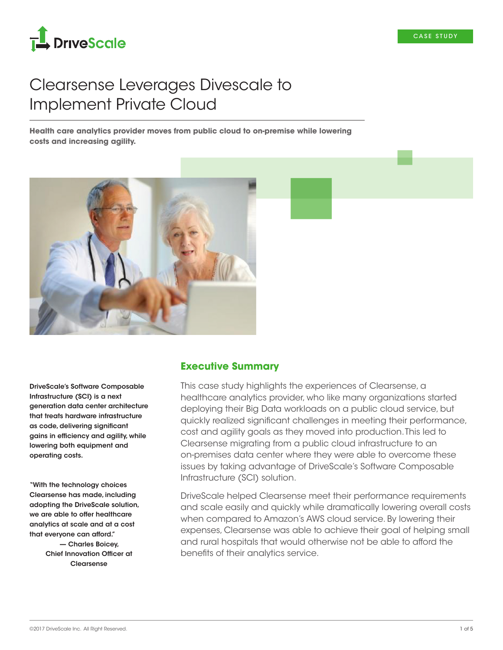

# Clearsense Leverages Divescale to Implement Private Cloud

**Health care analytics provider moves from public cloud to on-premise while lowering costs and increasing agility.**



DriveScale's Software Composable Infrastructure (SCI) is a next generation data center architecture that treats hardware infrastructure as code, delivering significant gains in efficiency and agility, while lowering both equipment and operating costs.

"With the technology choices Clearsense has made, including adopting the DriveScale solution, we are able to offer healthcare analytics at scale and at a cost that everyone can afford." — Charles Boicey, Chief Innovation Officer at **Clearsense** 

### **Executive Summary**

This case study highlights the experiences of Clearsense, a healthcare analytics provider, who like many organizations started deploying their Big Data workloads on a public cloud service, but quickly realized significant challenges in meeting their performance, cost and agility goals as they moved into production. This led to Clearsense migrating from a public cloud infrastructure to an on-premises data center where they were able to overcome these issues by taking advantage of DriveScale's Software Composable Infrastructure (SCI) solution.

DriveScale helped Clearsense meet their performance requirements and scale easily and quickly while dramatically lowering overall costs when compared to Amazon's AWS cloud service. By lowering their expenses, Clearsense was able to achieve their goal of helping small and rural hospitals that would otherwise not be able to afford the benefits of their analytics service.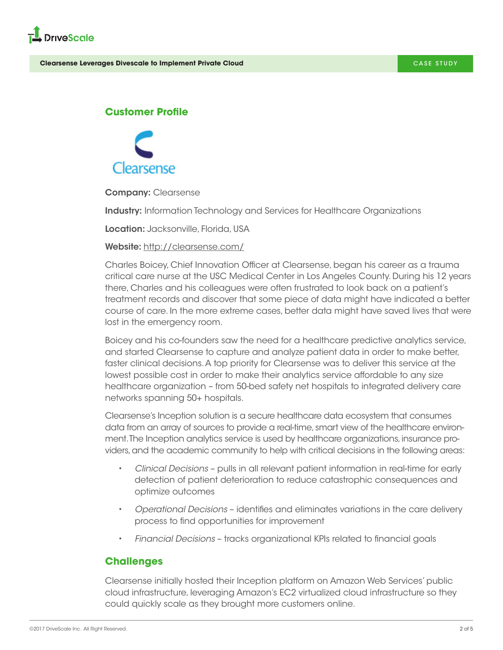

## **Customer Profile**



**Company: Clearsense** 

**Industry:** Information Technology and Services for Healthcare Organizations

Location: Jacksonville, Florida, USA

#### Website: <http://clearsense.com/>

Charles Boicey, Chief Innovation Officer at Clearsense, began his career as a trauma critical care nurse at the USC Medical Center in Los Angeles County. During his 12 years there, Charles and his colleagues were often frustrated to look back on a patient's treatment records and discover that some piece of data might have indicated a better course of care. In the more extreme cases, better data might have saved lives that were lost in the emergency room.

Boicey and his co-founders saw the need for a healthcare predictive analytics service, and started Clearsense to capture and analyze patient data in order to make better, faster clinical decisions. A top priority for Clearsense was to deliver this service at the lowest possible cost in order to make their analytics service affordable to any size healthcare organization – from 50-bed safety net hospitals to integrated delivery care networks spanning 50+ hospitals.

Clearsense's Inception solution is a secure healthcare data ecosystem that consumes data from an array of sources to provide a real-time, smart view of the healthcare environment. The Inception analytics service is used by healthcare organizations, insurance providers, and the academic community to help with critical decisions in the following areas:

- *Clinical Decisions* pulls in all relevant patient information in real-time for early detection of patient deterioration to reduce catastrophic consequences and optimize outcomes
- *Operational Decisions* identifies and eliminates variations in the care delivery process to find opportunities for improvement
- *Financial Decisions* tracks organizational KPIs related to financial goals

## **Challenges**

Clearsense initially hosted their Inception platform on Amazon Web Services' public cloud infrastructure, leveraging Amazon's EC2 virtualized cloud infrastructure so they could quickly scale as they brought more customers online.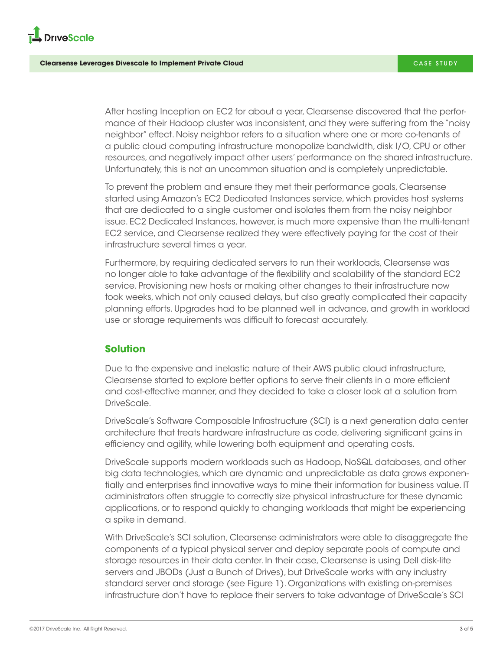

After hosting Inception on EC2 for about a year, Clearsense discovered that the performance of their Hadoop cluster was inconsistent, and they were suffering from the "noisy neighbor" effect. Noisy neighbor refers to a situation where one or more co-tenants of a public cloud computing infrastructure monopolize bandwidth, disk I/O, CPU or other resources, and negatively impact other users' performance on the shared infrastructure. Unfortunately, this is not an uncommon situation and is completely unpredictable.

To prevent the problem and ensure they met their performance goals, Clearsense started using Amazon's EC2 Dedicated Instances service, which provides host systems that are dedicated to a single customer and isolates them from the noisy neighbor issue. EC2 Dedicated Instances, however, is much more expensive than the multi-tenant EC2 service, and Clearsense realized they were effectively paying for the cost of their infrastructure several times a year.

Furthermore, by requiring dedicated servers to run their workloads, Clearsense was no longer able to take advantage of the flexibility and scalability of the standard EC2 service. Provisioning new hosts or making other changes to their infrastructure now took weeks, which not only caused delays, but also greatly complicated their capacity planning efforts. Upgrades had to be planned well in advance, and growth in workload use or storage requirements was difficult to forecast accurately.

## **Solution**

Due to the expensive and inelastic nature of their AWS public cloud infrastructure, Clearsense started to explore better options to serve their clients in a more efficient and cost-effective manner, and they decided to take a closer look at a solution from DriveScale.

DriveScale's Software Composable Infrastructure (SCI) is a next generation data center architecture that treats hardware infrastructure as code, delivering significant gains in efficiency and agility, while lowering both equipment and operating costs.

DriveScale supports modern workloads such as Hadoop, NoSQL databases, and other big data technologies, which are dynamic and unpredictable as data grows exponentially and enterprises find innovative ways to mine their information for business value. IT administrators often struggle to correctly size physical infrastructure for these dynamic applications, or to respond quickly to changing workloads that might be experiencing a spike in demand.

With DriveScale's SCI solution, Clearsense administrators were able to disaggregate the components of a typical physical server and deploy separate pools of compute and storage resources in their data center. In their case, Clearsense is using Dell disk-lite servers and JBODs (Just a Bunch of Drives), but DriveScale works with any industry standard server and storage (see Figure 1). Organizations with existing on-premises infrastructure don't have to replace their servers to take advantage of DriveScale's SCI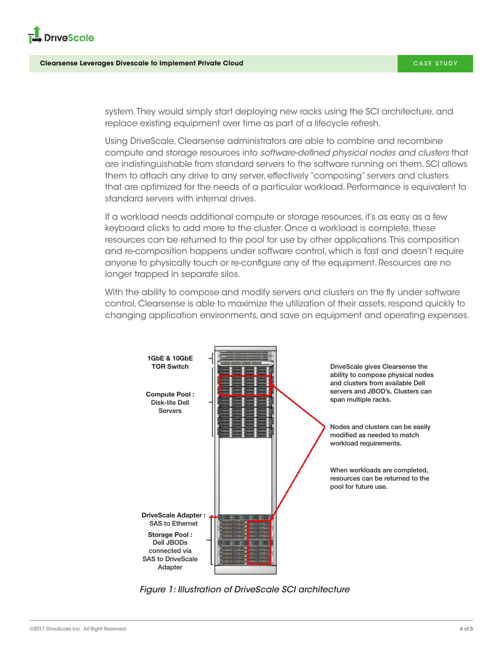

system. They would simply start deploying new racks using the SCI architecture, and replace existing equipment over time as part of a lifecycle refresh.

Using DriveScale, Clearsense administrators are able to combine and recombine compute and storage resources into *software-defined physical nodes and clusters* that are indistinguishable from standard servers to the software running on them. SCI allows them to attach any drive to any server, effectively "composing" servers and clusters that are optimized for the needs of a particular workload. Performance is equivalent to standard servers with internal drives.

If a workload needs additional compute or storage resources, it's as easy as a few keyboard clicks to add more to the cluster. Once a workload is complete, these resources can be returned to the pool for use by other applications. This composition and re-composition happens under software control, which is fast and doesn't require anyone to physically touch or re-configure any of the equipment. Resources are no longer trapped in separate silos.

With the ability to compose and modify servers and clusters on the fly under software control, Clearsense is able to maximize the utilization of their assets, respond quickly to changing application environments, and save on equipment and operating expenses.



*Figure 1: Illustration of DriveScale SCI architecture*